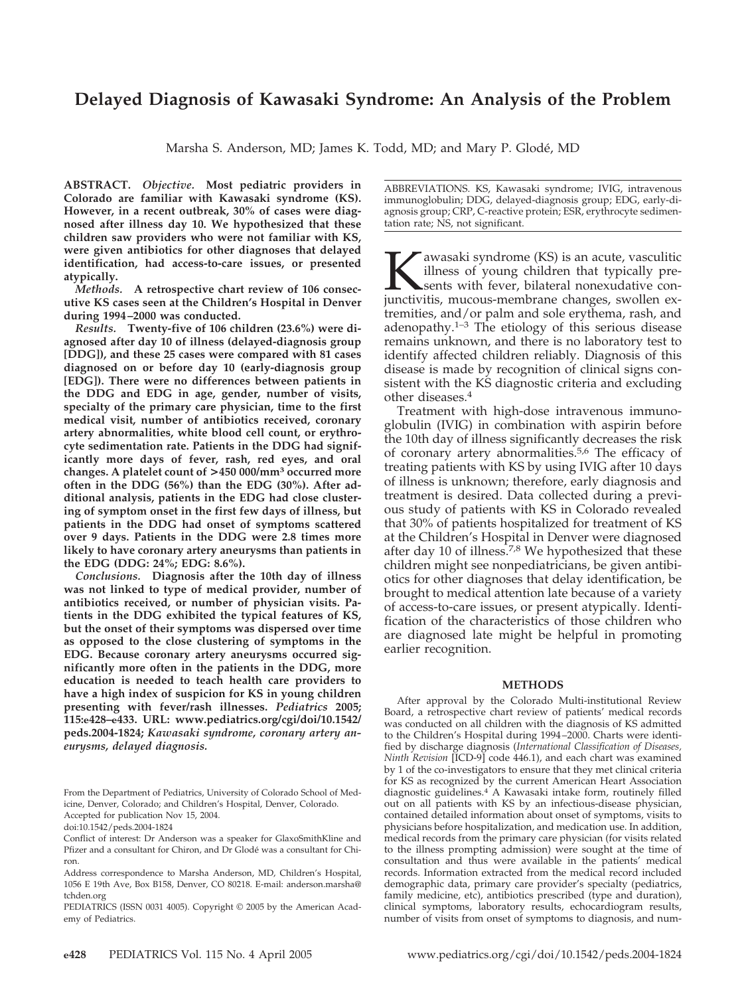# **Delayed Diagnosis of Kawasaki Syndrome: An Analysis of the Problem**

Marsha S. Anderson, MD; James K. Todd, MD; and Mary P. Glodé, MD

**ABSTRACT.** *Objective.* **Most pediatric providers in Colorado are familiar with Kawasaki syndrome (KS). However, in a recent outbreak, 30% of cases were diagnosed after illness day 10. We hypothesized that these children saw providers who were not familiar with KS, were given antibiotics for other diagnoses that delayed identification, had access-to-care issues, or presented atypically.**

*Methods.* **A retrospective chart review of 106 consecutive KS cases seen at the Children's Hospital in Denver during 1994 –2000 was conducted.**

*Results.* **Twenty-five of 106 children (23.6%) were diagnosed after day 10 of illness (delayed-diagnosis group [DDG]), and these 25 cases were compared with 81 cases diagnosed on or before day 10 (early-diagnosis group [EDG]). There were no differences between patients in the DDG and EDG in age, gender, number of visits, specialty of the primary care physician, time to the first medical visit, number of antibiotics received, coronary artery abnormalities, white blood cell count, or erythrocyte sedimentation rate. Patients in the DDG had significantly more days of fever, rash, red eyes, and oral changes. A platelet count of >450 000/mm3 occurred more often in the DDG (56%) than the EDG (30%). After additional analysis, patients in the EDG had close clustering of symptom onset in the first few days of illness, but patients in the DDG had onset of symptoms scattered over 9 days. Patients in the DDG were 2.8 times more likely to have coronary artery aneurysms than patients in the EDG (DDG: 24%; EDG: 8.6%).**

*Conclusions.* **Diagnosis after the 10th day of illness was not linked to type of medical provider, number of antibiotics received, or number of physician visits. Patients in the DDG exhibited the typical features of KS, but the onset of their symptoms was dispersed over time as opposed to the close clustering of symptoms in the EDG. Because coronary artery aneurysms occurred significantly more often in the patients in the DDG, more education is needed to teach health care providers to have a high index of suspicion for KS in young children presenting with fever/rash illnesses.** *Pediatrics* **2005; 115:e428–e433. URL: www.pediatrics.org/cgi/doi/10.1542/ peds.2004-1824;** *Kawasaki syndrome, coronary artery aneurysms, delayed diagnosis.*

From the Department of Pediatrics, University of Colorado School of Medicine, Denver, Colorado; and Children's Hospital, Denver, Colorado. Accepted for publication Nov 15, 2004.

ABBREVIATIONS. KS, Kawasaki syndrome; IVIG, intravenous immunoglobulin; DDG, delayed-diagnosis group; EDG, early-diagnosis group; CRP, C-reactive protein; ESR, erythrocyte sedimentation rate; NS, not significant.

**K**awasaki syndrome (KS) is an acute, vasculitic illness of young children that typically presents with fever, bilateral nonexudative conjunctivitis, mucous-membrane changes, swollen exillness of young children that typically presents with fever, bilateral nonexudative contremities, and/or palm and sole erythema, rash, and adenopathy. $1-3$  The etiology of this serious disease remains unknown, and there is no laboratory test to identify affected children reliably. Diagnosis of this disease is made by recognition of clinical signs consistent with the KS diagnostic criteria and excluding other diseases.4

Treatment with high-dose intravenous immunoglobulin (IVIG) in combination with aspirin before the 10th day of illness significantly decreases the risk of coronary artery abnormalities.<sup>5,6</sup> The efficacy of treating patients with KS by using IVIG after 10 days of illness is unknown; therefore, early diagnosis and treatment is desired. Data collected during a previous study of patients with KS in Colorado revealed that 30% of patients hospitalized for treatment of KS at the Children's Hospital in Denver were diagnosed after day 10 of illness.<sup>7,8</sup> We hypothesized that these children might see nonpediatricians, be given antibiotics for other diagnoses that delay identification, be brought to medical attention late because of a variety of access-to-care issues, or present atypically. Identification of the characteristics of those children who are diagnosed late might be helpful in promoting earlier recognition.

#### **METHODS**

After approval by the Colorado Multi-institutional Review Board, a retrospective chart review of patients' medical records was conducted on all children with the diagnosis of KS admitted to the Children's Hospital during 1994 –2000. Charts were identified by discharge diagnosis (*International Classification of Diseases, Ninth Revision* [ICD-9] code 446.1), and each chart was examined by 1 of the co-investigators to ensure that they met clinical criteria for KS as recognized by the current American Heart Association diagnostic guidelines.4 A Kawasaki intake form, routinely filled out on all patients with KS by an infectious-disease physician, contained detailed information about onset of symptoms, visits to physicians before hospitalization, and medication use. In addition, medical records from the primary care physician (for visits related to the illness prompting admission) were sought at the time of consultation and thus were available in the patients' medical records. Information extracted from the medical record included demographic data, primary care provider's specialty (pediatrics, family medicine, etc), antibiotics prescribed (type and duration), clinical symptoms, laboratory results, echocardiogram results, number of visits from onset of symptoms to diagnosis, and num-

doi:10.1542/peds.2004-1824

Conflict of interest: Dr Anderson was a speaker for GlaxoSmithKline and Pfizer and a consultant for Chiron, and Dr Glodé was a consultant for Chiron.

Address correspondence to Marsha Anderson, MD, Children's Hospital, 1056 E 19th Ave, Box B158, Denver, CO 80218. E-mail: anderson.marsha@ tchden.org

PEDIATRICS (ISSN 0031 4005). Copyright © 2005 by the American Academy of Pediatrics.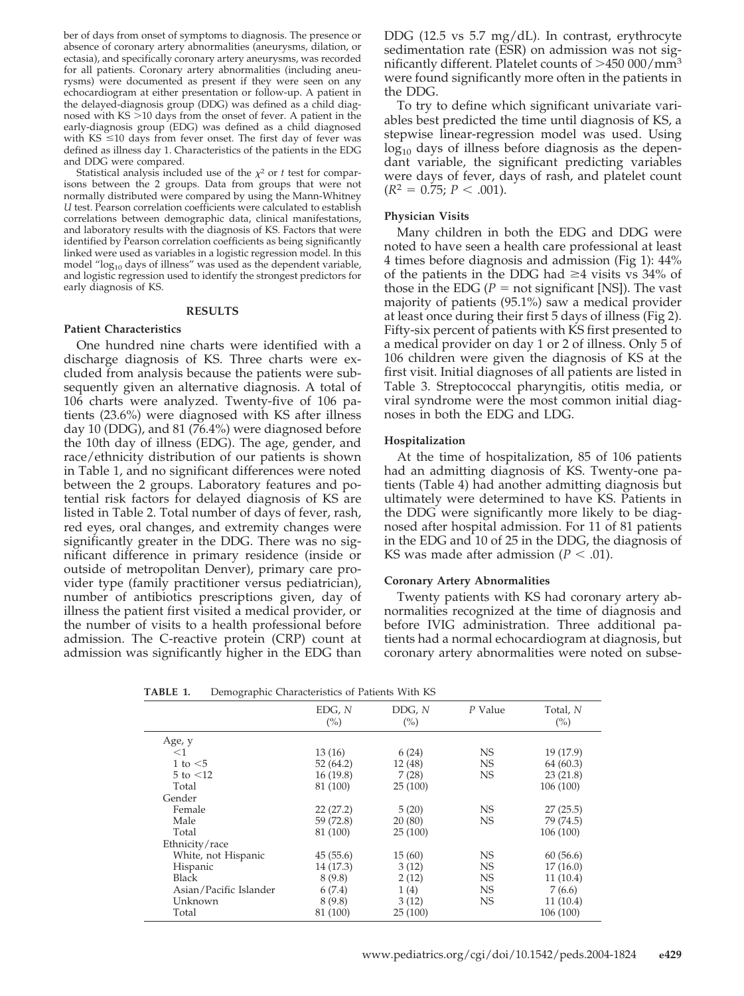ber of days from onset of symptoms to diagnosis. The presence or absence of coronary artery abnormalities (aneurysms, dilation, or ectasia), and specifically coronary artery aneurysms, was recorded for all patients. Coronary artery abnormalities (including aneurysms) were documented as present if they were seen on any echocardiogram at either presentation or follow-up. A patient in the delayed-diagnosis group (DDG) was defined as a child diagnosed with  $KS > 10$  days from the onset of fever. A patient in the early-diagnosis group (EDG) was defined as a child diagnosed with  $KS \leq 10$  days from fever onset. The first day of fever was defined as illness day 1. Characteristics of the patients in the EDG and DDG were compared.

Statistical analysis included use of the  $\chi^2$  or *t* test for comparisons between the 2 groups. Data from groups that were not normally distributed were compared by using the Mann-Whitney *U* test. Pearson correlation coefficients were calculated to establish correlations between demographic data, clinical manifestations, and laboratory results with the diagnosis of KS. Factors that were identified by Pearson correlation coefficients as being significantly linked were used as variables in a logistic regression model. In this model "log<sub>10</sub> days of illness" was used as the dependent variable, and logistic regression used to identify the strongest predictors for early diagnosis of KS.

### **RESULTS**

# **Patient Characteristics**

One hundred nine charts were identified with a discharge diagnosis of KS. Three charts were excluded from analysis because the patients were subsequently given an alternative diagnosis. A total of 106 charts were analyzed. Twenty-five of 106 patients (23.6%) were diagnosed with KS after illness day 10 (DDG), and 81 (76.4%) were diagnosed before the 10th day of illness (EDG). The age, gender, and race/ethnicity distribution of our patients is shown in Table 1, and no significant differences were noted between the 2 groups. Laboratory features and potential risk factors for delayed diagnosis of KS are listed in Table 2. Total number of days of fever, rash, red eyes, oral changes, and extremity changes were significantly greater in the DDG. There was no significant difference in primary residence (inside or outside of metropolitan Denver), primary care provider type (family practitioner versus pediatrician), number of antibiotics prescriptions given, day of illness the patient first visited a medical provider, or the number of visits to a health professional before admission. The C-reactive protein (CRP) count at admission was significantly higher in the EDG than

DDG (12.5 vs 5.7 mg/dL). In contrast, erythrocyte sedimentation rate (ESR) on admission was not significantly different. Platelet counts of  $>450000/\text{mm}^3$ were found significantly more often in the patients in the DDG.

To try to define which significant univariate variables best predicted the time until diagnosis of KS, a stepwise linear-regression model was used. Using  $log_{10}$  days of illness before diagnosis as the dependant variable, the significant predicting variables were days of fever, days of rash, and platelet count  $(R^2 = 0.75; P < .001).$ 

# **Physician Visits**

Many children in both the EDG and DDG were noted to have seen a health care professional at least 4 times before diagnosis and admission (Fig 1): 44% of the patients in the DDG had  $\geq$ 4 visits vs 34% of those in the EDG ( $P =$  not significant [NS]). The vast majority of patients (95.1%) saw a medical provider at least once during their first 5 days of illness (Fig 2). Fifty-six percent of patients with KS first presented to a medical provider on day 1 or 2 of illness. Only 5 of 106 children were given the diagnosis of KS at the first visit. Initial diagnoses of all patients are listed in Table 3. Streptococcal pharyngitis, otitis media, or viral syndrome were the most common initial diagnoses in both the EDG and LDG.

# **Hospitalization**

At the time of hospitalization, 85 of 106 patients had an admitting diagnosis of KS. Twenty-one patients (Table 4) had another admitting diagnosis but ultimately were determined to have KS. Patients in the DDG were significantly more likely to be diagnosed after hospital admission. For 11 of 81 patients in the EDG and 10 of 25 in the DDG, the diagnosis of KS was made after admission ( $P < .01$ ).

# **Coronary Artery Abnormalities**

Twenty patients with KS had coronary artery abnormalities recognized at the time of diagnosis and before IVIG administration. Three additional patients had a normal echocardiogram at diagnosis, but coronary artery abnormalities were noted on subse-

**TABLE 1.** Demographic Characteristics of Patients With KS

| $\checkmark$           |               |                          |           |                 |
|------------------------|---------------|--------------------------|-----------|-----------------|
|                        | EDG, N<br>(%) | DDG, N<br>$\binom{0}{0}$ | P Value   | Total, N<br>(%) |
| Age, y                 |               |                          |           |                 |
| $<$ 1                  | 13(16)        | 6(24)                    | <b>NS</b> | 19 (17.9)       |
| 1 to $<$ 5             | 52(64.2)      | 12 (48)                  | <b>NS</b> | 64(60.3)        |
| $5$ to $\leq 12$       | 16(19.8)      | 7(28)                    | <b>NS</b> | 23(21.8)        |
| Total                  | 81 (100)      | 25(100)                  |           | 106 (100)       |
| Gender                 |               |                          |           |                 |
| Female                 | 22(27.2)      | 5(20)                    | <b>NS</b> | 27(25.5)        |
| Male                   | 59 (72.8)     | 20(80)                   | <b>NS</b> | 79 (74.5)       |
| Total                  | 81 (100)      | 25(100)                  |           | 106 (100)       |
| Ethnicity/race         |               |                          |           |                 |
| White, not Hispanic    | 45(55.6)      | 15(60)                   | <b>NS</b> | 60(56.6)        |
| Hispanic               | 14 (17.3)     | 3(12)                    | <b>NS</b> | 17(16.0)        |
| Black                  | 8(9.8)        | 2(12)                    | <b>NS</b> | 11(10.4)        |
| Asian/Pacific Islander | 6(7.4)        | 1(4)                     | <b>NS</b> | 7(6.6)          |
| Unknown                | 8(9.8)        | 3(12)                    | <b>NS</b> | 11(10.4)        |
| Total                  | 81 (100)      | 25(100)                  |           | 106 (100)       |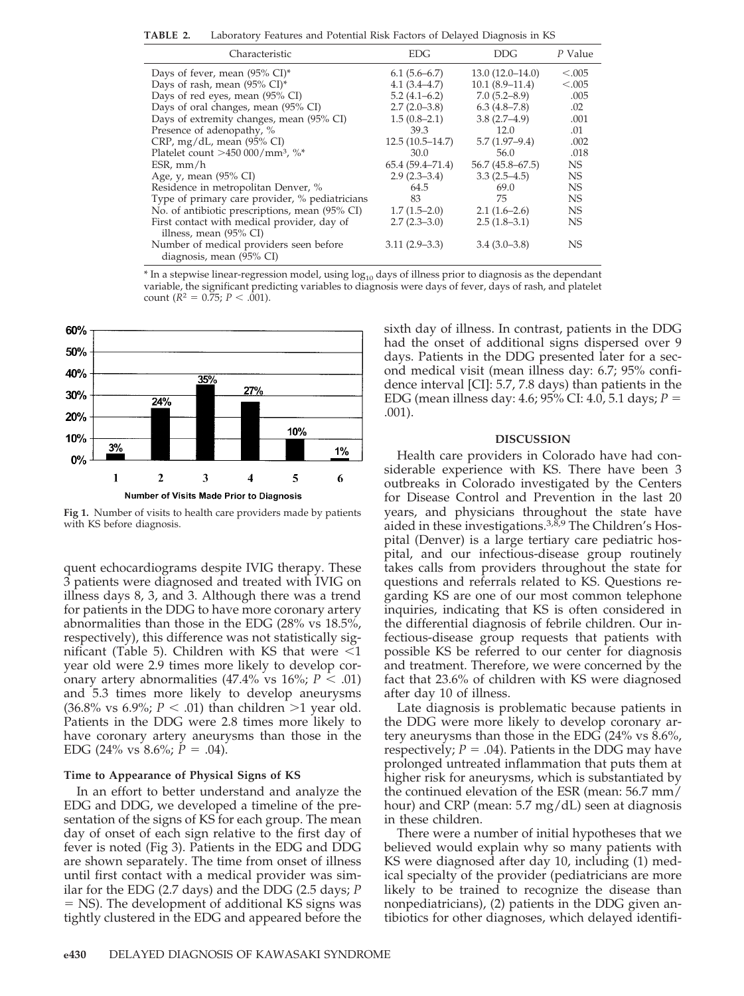**TABLE 2.** Laboratory Features and Potential Risk Factors of Delayed Diagnosis in KS

| Characteristic                                 | <b>EDG</b>        | <b>DDG</b>          | P Value   |
|------------------------------------------------|-------------------|---------------------|-----------|
| Days of fever, mean $(95\% \text{ CI})^*$      | $6.1(5.6-6.7)$    | $13.0(12.0-14.0)$   | < 0.005   |
| Days of rash, mean (95% CI)*                   | $4.1(3.4 - 4.7)$  | $10.1(8.9-11.4)$    | < .005    |
| Days of red eyes, mean (95% CI)                | $5.2(4.1-6.2)$    | $7.0(5.2 - 8.9)$    | .005      |
| Days of oral changes, mean (95% CI)            | $2.7(2.0-3.8)$    | $6.3(4.8-7.8)$      | .02       |
| Days of extremity changes, mean (95% CI)       | $1.5(0.8-2.1)$    | $3.8(2.7-4.9)$      | .001      |
| Presence of adenopathy, %                      | 39.3              | 12.0                | .01       |
| $CRP$ , mg/dL, mean (95% CI)                   | $12.5(10.5-14.7)$ | $5.7(1.97-9.4)$     | .002      |
| Platelet count $>450000/\text{mm}^3$ , %*      | 30.0              | 56.0                | .018      |
| $ESR$ , mm/h                                   | 65.4(59.4–71.4)   | $56.7(45.8 - 67.5)$ | <b>NS</b> |
| Age, y, mean $(95\% \text{ CI})$               | $2.9(2.3-3.4)$    | $3.3(2.5-4.5)$      | NS.       |
| Residence in metropolitan Denver, %            | 64.5              | 69.0                | NS.       |
| Type of primary care provider, % pediatricians | 83                | 75                  | NS.       |
| No. of antibiotic prescriptions, mean (95% CI) | $1.7(1.5-2.0)$    | $2.1(1.6-2.6)$      | NS.       |
| First contact with medical provider, day of    | $2.7(2.3-3.0)$    | $2.5(1.8-3.1)$      | NS.       |
| illness, mean $(95\% \text{ CI})$              |                   |                     |           |
| Number of medical providers seen before        | $3.11(2.9 - 3.3)$ | $3.4(3.0-3.8)$      | NS        |
| diagnosis, mean (95% CI)                       |                   |                     |           |
|                                                |                   |                     |           |

 $*$  In a stepwise linear-regression model, using  $log_{10}$  days of illness prior to diagnosis as the dependant variable, the significant predicting variables to diagnosis were days of fever, days of rash, and platelet count ( $R^2 = 0.75$ ;  $P < .001$ ).



**Fig 1.** Number of visits to health care providers made by patients with KS before diagnosis.

quent echocardiograms despite IVIG therapy. These 3 patients were diagnosed and treated with IVIG on illness days 8, 3, and 3. Although there was a trend for patients in the DDG to have more coronary artery abnormalities than those in the EDG (28% vs 18.5%, respectively), this difference was not statistically significant (Table 5). Children with KS that were  $\leq 1$ year old were 2.9 times more likely to develop coronary artery abnormalities  $(47.4\% \text{ vs } 16\%; P < .01)$ and 5.3 times more likely to develop aneurysms  $(36.8\% \text{ vs } 6.9\%; P < .01)$  than children >1 year old. Patients in the DDG were 2.8 times more likely to have coronary artery aneurysms than those in the EDG  $(24\% \text{ vs } 8.6\%; P = .04)$ .

# **Time to Appearance of Physical Signs of KS**

In an effort to better understand and analyze the EDG and DDG, we developed a timeline of the presentation of the signs of KS for each group. The mean day of onset of each sign relative to the first day of fever is noted (Fig 3). Patients in the EDG and DDG are shown separately. The time from onset of illness until first contact with a medical provider was similar for the EDG (2.7 days) and the DDG (2.5 days; *P* - NS). The development of additional KS signs was tightly clustered in the EDG and appeared before the sixth day of illness. In contrast, patients in the DDG had the onset of additional signs dispersed over 9 days. Patients in the DDG presented later for a second medical visit (mean illness day: 6.7; 95% confidence interval [CI]: 5.7, 7.8 days) than patients in the EDG (mean illness day: 4.6; 95% CI: 4.0, 5.1 days; *P* - .001).

# **DISCUSSION**

Health care providers in Colorado have had considerable experience with KS. There have been 3 outbreaks in Colorado investigated by the Centers for Disease Control and Prevention in the last 20 years, and physicians throughout the state have aided in these investigations. $3,8,9$  The Children's Hospital (Denver) is a large tertiary care pediatric hospital, and our infectious-disease group routinely takes calls from providers throughout the state for questions and referrals related to KS. Questions regarding KS are one of our most common telephone inquiries, indicating that KS is often considered in the differential diagnosis of febrile children. Our infectious-disease group requests that patients with possible KS be referred to our center for diagnosis and treatment. Therefore, we were concerned by the fact that 23.6% of children with KS were diagnosed after day 10 of illness.

Late diagnosis is problematic because patients in the DDG were more likely to develop coronary artery aneurysms than those in the EDG (24% vs 8.6%, respectively;  $P = .04$ ). Patients in the DDG may have prolonged untreated inflammation that puts them at higher risk for aneurysms, which is substantiated by the continued elevation of the ESR (mean: 56.7 mm/ hour) and CRP (mean: 5.7 mg/dL) seen at diagnosis in these children.

There were a number of initial hypotheses that we believed would explain why so many patients with KS were diagnosed after day 10, including (1) medical specialty of the provider (pediatricians are more likely to be trained to recognize the disease than nonpediatricians), (2) patients in the DDG given antibiotics for other diagnoses, which delayed identifi-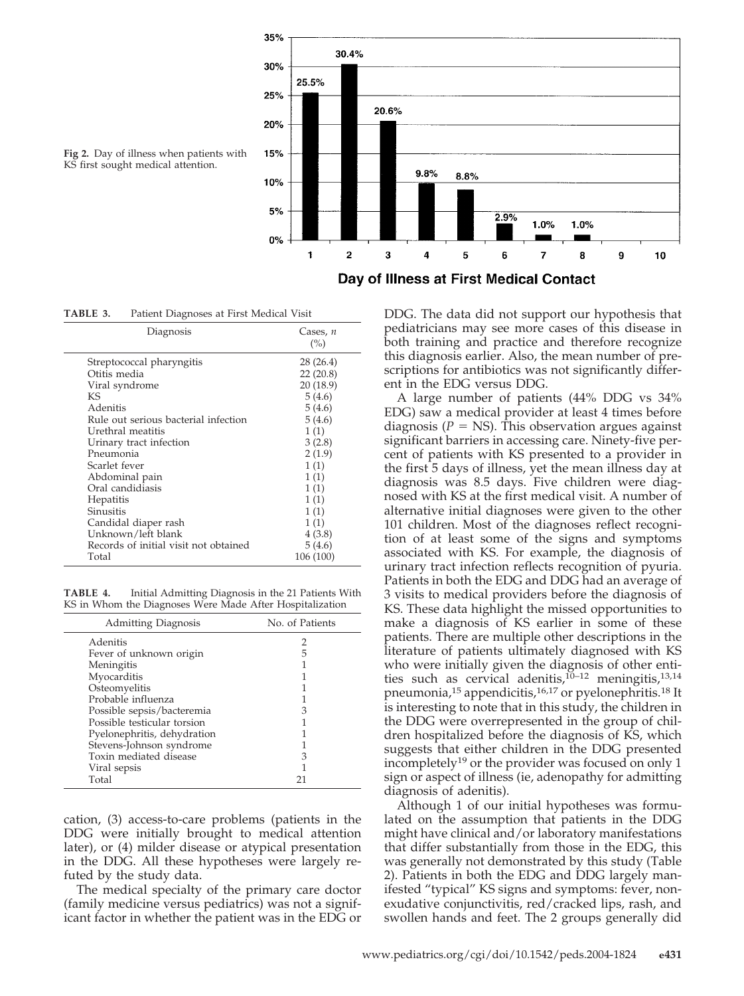

**Fig 2.** Day of illness when patients with KS first sought medical attention.

**TABLE 3.** Patient Diagnoses at First Medical Visit

| Diagnosis                             | Cases, $n$<br>(%) |
|---------------------------------------|-------------------|
| Streptococcal pharyngitis             | 28 (26.4)         |
| Otitis media                          | 22(20.8)          |
| Viral syndrome                        | 20 (18.9)         |
| KS                                    | 5(4.6)            |
| Adenitis                              | 5(4.6)            |
| Rule out serious bacterial infection  | 5(4.6)            |
| Urethral meatitis                     | 1(1)              |
| Urinary tract infection               | 3(2.8)            |
| Pneumonia                             | 2(1.9)            |
| Scarlet fever                         | 1(1)              |
| Abdominal pain                        | 1(1)              |
| Oral candidiasis                      | 1(1)              |
| Hepatitis                             | 1(1)              |
| Sinusitis                             | 1(1)              |
| Candidal diaper rash                  | 1(1)              |
| Unknown/left blank                    | 4(3.8)            |
| Records of initial visit not obtained | 5(4.6)            |
| Total                                 | 106 (100)         |
|                                       |                   |

**TABLE 4.** Initial Admitting Diagnosis in the 21 Patients With KS in Whom the Diagnoses Were Made After Hospitalization

| <b>Admitting Diagnosis</b>  | No. of Patients |
|-----------------------------|-----------------|
| Adenitis                    |                 |
| Fever of unknown origin     | 5               |
| Meningitis                  |                 |
| Myocarditis                 |                 |
| Osteomyelitis               |                 |
| Probable influenza          |                 |
| Possible sepsis/bacteremia  |                 |
| Possible testicular torsion |                 |
| Pyelonephritis, dehydration |                 |
| Stevens-Johnson syndrome    |                 |
| Toxin mediated disease      | З               |
| Viral sepsis                |                 |
| Total                       |                 |

cation, (3) access-to-care problems (patients in the DDG were initially brought to medical attention later), or (4) milder disease or atypical presentation in the DDG. All these hypotheses were largely refuted by the study data.

The medical specialty of the primary care doctor (family medicine versus pediatrics) was not a significant factor in whether the patient was in the EDG or DDG. The data did not support our hypothesis that pediatricians may see more cases of this disease in both training and practice and therefore recognize this diagnosis earlier. Also, the mean number of prescriptions for antibiotics was not significantly different in the EDG versus DDG.

A large number of patients (44% DDG vs 34% EDG) saw a medical provider at least 4 times before diagnosis ( $P =$  NS). This observation argues against significant barriers in accessing care. Ninety-five percent of patients with KS presented to a provider in the first 5 days of illness, yet the mean illness day at diagnosis was 8.5 days. Five children were diagnosed with KS at the first medical visit. A number of alternative initial diagnoses were given to the other 101 children. Most of the diagnoses reflect recognition of at least some of the signs and symptoms associated with KS. For example, the diagnosis of urinary tract infection reflects recognition of pyuria. Patients in both the EDG and DDG had an average of 3 visits to medical providers before the diagnosis of KS. These data highlight the missed opportunities to make a diagnosis of KS earlier in some of these patients. There are multiple other descriptions in the literature of patients ultimately diagnosed with KS who were initially given the diagnosis of other entities such as cervical adenitis,<sup>10-12</sup> meningitis,<sup>13,14</sup> pneumonia, $^{15}$  appendicitis, $^{16,17}$  or pyelonephritis.<sup>18</sup> It is interesting to note that in this study, the children in the DDG were overrepresented in the group of children hospitalized before the diagnosis of KS, which suggests that either children in the DDG presented incompletely<sup>19</sup> or the provider was focused on only 1 sign or aspect of illness (ie, adenopathy for admitting diagnosis of adenitis).

Although 1 of our initial hypotheses was formulated on the assumption that patients in the DDG might have clinical and/or laboratory manifestations that differ substantially from those in the EDG, this was generally not demonstrated by this study (Table 2). Patients in both the EDG and DDG largely manifested "typical" KS signs and symptoms: fever, nonexudative conjunctivitis, red/cracked lips, rash, and swollen hands and feet. The 2 groups generally did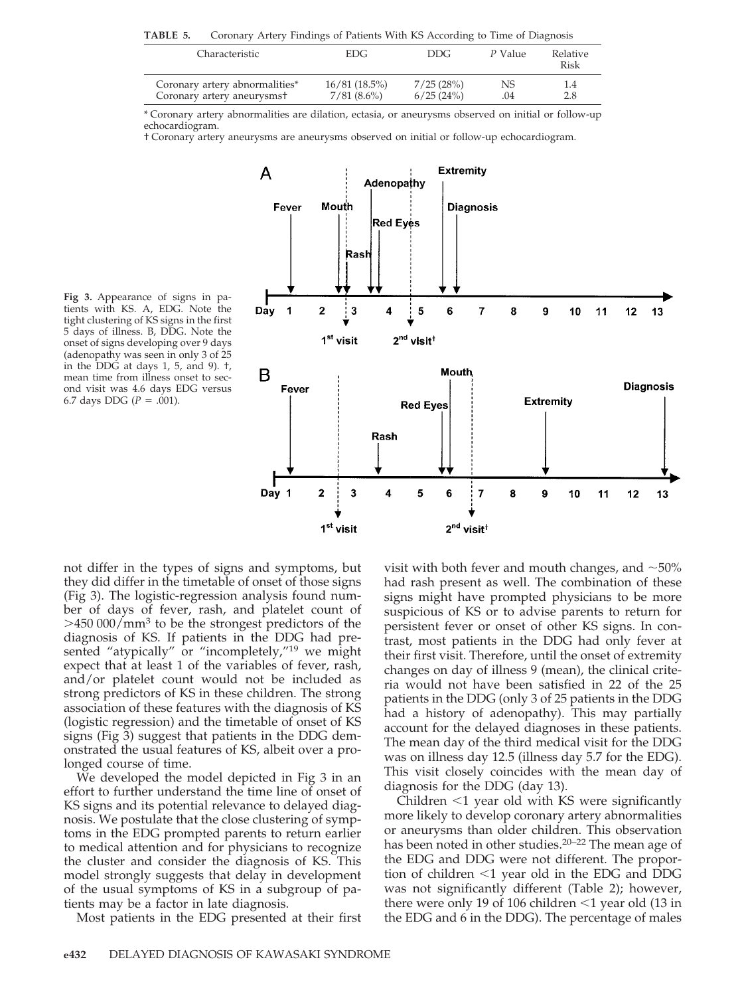**TABLE 5.** Coronary Artery Findings of Patients With KS According to Time of Diagnosis

| Characteristic                         | EDG.          | DDG.      | P Value | Relative<br>Risk |
|----------------------------------------|---------------|-----------|---------|------------------|
| Coronary artery abnormalities*         | 16/81(18.5%)  | 7/25(28%) | NS      | 1.4              |
| Coronary artery aneurysms <sup>+</sup> | $7/81(8.6\%)$ | 6/25(24%) | .04     | 2.8              |

\* Coronary artery abnormalities are dilation, ectasia, or aneurysms observed on initial or follow-up echocardiogram.

† Coronary artery aneurysms are aneurysms observed on initial or follow-up echocardiogram.

**Fig 3.** Appearance of signs in patients with KS. A, EDG. Note the tight clustering of KS signs in the first 5 days of illness. B, DDG. Note the onset of signs developing over 9 days (adenopathy was seen in only 3 of 25 in the DDG at days 1, 5, and 9). †, mean time from illness onset to second visit was 4.6 days EDG versus 6.7 days DDG  $(P = .001)$ .



not differ in the types of signs and symptoms, but they did differ in the timetable of onset of those signs (Fig 3). The logistic-regression analysis found number of days of fever, rash, and platelet count of  $>450 000/mm<sup>3</sup>$  to be the strongest predictors of the diagnosis of KS. If patients in the DDG had presented "atypically" or "incompletely,"<sup>19</sup> we might expect that at least 1 of the variables of fever, rash, and/or platelet count would not be included as strong predictors of KS in these children. The strong association of these features with the diagnosis of KS (logistic regression) and the timetable of onset of KS signs (Fig 3) suggest that patients in the DDG demonstrated the usual features of KS, albeit over a prolonged course of time.

We developed the model depicted in Fig 3 in an effort to further understand the time line of onset of KS signs and its potential relevance to delayed diagnosis. We postulate that the close clustering of symptoms in the EDG prompted parents to return earlier to medical attention and for physicians to recognize the cluster and consider the diagnosis of KS. This model strongly suggests that delay in development of the usual symptoms of KS in a subgroup of patients may be a factor in late diagnosis.

Most patients in the EDG presented at their first

visit with both fever and mouth changes, and  $\sim$ 50% had rash present as well. The combination of these signs might have prompted physicians to be more suspicious of KS or to advise parents to return for persistent fever or onset of other KS signs. In contrast, most patients in the DDG had only fever at their first visit. Therefore, until the onset of extremity changes on day of illness 9 (mean), the clinical criteria would not have been satisfied in 22 of the 25 patients in the DDG (only 3 of 25 patients in the DDG had a history of adenopathy). This may partially account for the delayed diagnoses in these patients. The mean day of the third medical visit for the DDG was on illness day 12.5 (illness day 5.7 for the EDG). This visit closely coincides with the mean day of diagnosis for the DDG (day 13).

Children  $\leq 1$  year old with KS were significantly more likely to develop coronary artery abnormalities or aneurysms than older children. This observation has been noted in other studies.<sup>20-22</sup> The mean age of the EDG and DDG were not different. The proportion of children  $\leq 1$  year old in the EDG and DDG was not significantly different (Table 2); however, there were only 19 of 106 children  $\leq$ 1 year old (13 in the EDG and 6 in the DDG). The percentage of males